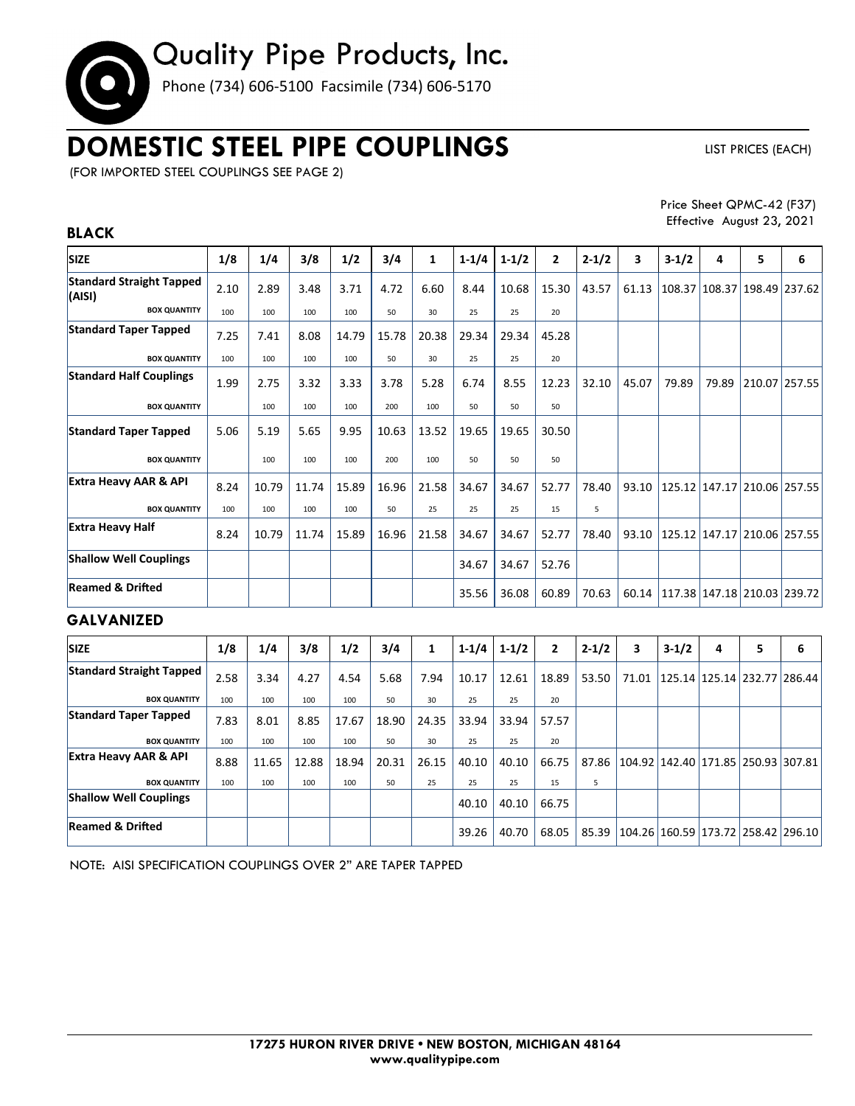# Quality Pipe Products, Inc.

Phone (734) 606-5100 Facsimile (734) 606-5170

## **DOMESTIC STEEL PIPE COUPLINGS**

LIST PRICES (EACH)

(FOR IMPORTED STEEL COUPLINGS SEE PAGE 2)

Price Sheet QPMC-42 (F37) Effective August 23, 2021

### **SIZE 1/8 1/4 3/8 1/2 3/4 1 1-1/4 1-1/2 2 2-1/2 3 3-1/2 4 5 6 Standard Straight Tapped (AISI)** 2.10 2.89 3.48 3.71 4.72 6.60 8.44 10.68 15.30 43.57 61.13 108.37 108.37 198.49 237.62 **BOX QUANTITY** | 100 | 100 | 100 | 100 | 50 | 30 | 25 | 25 | 20 **Standard Taper Tapped | 7.25 | 7.41 | 8.08 | 14.79 | 15.78 | 20.38 | 29.34 | 29.34 | 45.28 BOX QUANTITY** 100 100 100 100 50 30 25 25 20 **Standard Half Couplings** 1.99 2.75 3.32 3.33 3.78 5.28 6.74 8.55 12.23 32.10 45.07 79.89 79.89 210.07 257.55 **BOX QUANTITY** 100 100 100 100 100 100 50 50 50 50 **Standard Taper Tapped**  5.06 5.19 5.65 9.95 10.63 13.52 19.65 19.65 30.50 **BOX QUANTITY** 100 100 100 100 100 100 50 50 50 **Extra Heavy AAR & API** | 8.24 | 10.79 | 11.74 | 15.89 | 16.96 | 21.58 | 34.67 | 34.67 | 52.77 | 78.40 | 93.10 | 125.12 | 147.17 | 210.06 | 257.55 **BOX QUANTITY** 100 100 100 100 50 25 25 25 15 5 **Extra Heavy Half** 8.24 10.79 11.74 15.89 16.96 21.58 34.67 34.67 52.77 78.40 93.10 125.12 147.17 210.06 257.55 **Shallow Well Couplings** | | | | | | | | | 34.67 34.67 52.76 **Reamed & Dried** 35.56 36.08 60.89 70.63 60.14 117.38 147.18 210.03 239.72

### **GALVANIZED**

**BLACK** 

| <b>SIZE</b>                      | 1/8  | 1/4   | 3/8   | 1/2   | 3/4   | 1     | $1 - 1/4$ | $1 - 1/2$ | $\overline{2}$ | $2 - 1/2$ | 3     | $3-1/2$                            | 4 | 5 | 6                                  |
|----------------------------------|------|-------|-------|-------|-------|-------|-----------|-----------|----------------|-----------|-------|------------------------------------|---|---|------------------------------------|
| <b>Standard Straight Tapped</b>  | 2.58 | 3.34  | 4.27  | 4.54  | 5.68  | 7.94  | 10.17     | 12.61     | 18.89          | 53.50     | 71.01 | 125.14   125.14   232.77   286.44  |   |   |                                    |
| <b>BOX QUANTITY</b>              | 100  | 100   | 100   | 100   | 50    | 30    | 25        | 25        | 20             |           |       |                                    |   |   |                                    |
| <b>Standard Taper Tapped</b>     | 7.83 | 8.01  | 8.85  | 17.67 | 18.90 | 24.35 | 33.94     | 33.94     | 57.57          |           |       |                                    |   |   |                                    |
| <b>BOX QUANTITY</b>              | 100  | 100   | 100   | 100   | 50    | 30    | 25        | 25        | 20             |           |       |                                    |   |   |                                    |
| <b>Extra Heavy AAR &amp; API</b> | 8.88 | 11.65 | 12.88 | 18.94 | 20.31 | 26.15 | 40.10     | 40.10     | 66.75          | 87.86     |       | 104.92 142.40 171.85 250.93 307.81 |   |   |                                    |
| <b>BOX QUANTITY</b>              | 100  | 100   | 100   | 100   | 50    | 25    | 25        | 25        | 15             | 5         |       |                                    |   |   |                                    |
| <b>Shallow Well Couplings</b>    |      |       |       |       |       |       | 40.10     | 40.10     | 66.75          |           |       |                                    |   |   |                                    |
| <b>Reamed &amp; Drifted</b>      |      |       |       |       |       |       | 39.26     | 40.70     | 68.05          | 85.39     |       |                                    |   |   | 104.26 160.59 173.72 258.42 296.10 |

NOTE: AISI SPECIFICATION COUPLINGS OVER 2" ARE TAPER TAPPED